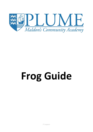

## **Frog Guide**

IT Support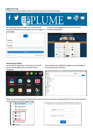## **Logging into Frog:**

Go onto the Academy website, there is a link to frog at the top of the website.



The Frog login page will open, Your Username and Password will be the same as what you use to login to your laptop

| <b>Username</b>   |                         |
|-------------------|-------------------------|
| <b>Username</b>   |                         |
| <b>Password</b>   |                         |
| Password          |                         |
|                   |                         |
| Login             |                         |
| Beethoven v16.1.4 | <b>Forgot password?</b> |

Once you have logged in you will see the 'Plume Academy Dashboard',



## **Accessing your drives:**

To access your frog drives, firstly click on the dock icon in the top right corner, and then click on 'FrogDrive'



This will open the 'FrogDrive' window, you will be able to access your drives from here.

| $\circ$                       |                 |              |
|-------------------------------|-----------------|--------------|
| FrogDrive                     |                 | Ⅲ日<br>Search |
| Latest Files                  |                 | My Documents |
| $\mathbf{\hat{x}}$ Favourites |                 |              |
| D <sub>u</sub> Documents      | Hide            |              |
| My Documents                  |                 |              |
| Ch Shared With Me             |                 |              |
| School Documents              |                 |              |
| H Drive                       |                 |              |
| <b>D</b> O Drive              |                 |              |
| N Drive                       |                 |              |
| SCORM Packages                |                 |              |
| ePortfolios                   | Show            |              |
| ⊕<br>Sites                    | Show            |              |
| ?? Quizzes                    | Show            |              |
| <sup>4</sup> Applications     |                 |              |
| $:=$ Forms                    |                 |              |
| $E$ Polls                     |                 |              |
|                               |                 |              |
|                               | $\triangleleft$ |              |

When you go to access your network drive, it will ask for your username and password, this is the same username and password you used to login to frog.

| My Documents            |          | Please enter your username and password to log in to the network |
|-------------------------|----------|------------------------------------------------------------------|
| Shared With Me<br>u.    |          |                                                                  |
| School Documents<br>L3, | Username | Username                                                         |
| H Drive<br>團            |          |                                                                  |
| O Drive<br>B            | Password | Password                                                         |
| N Drive<br>m            |          |                                                                  |
| SS SCORM Packages       |          | Login                                                            |
| affortfolion.           |          |                                                                  |